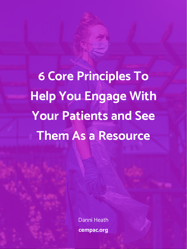**6 Core Principles To Help You Engage With Your Patients and See Them As a Resource**

> Danni Heath **cempac.org**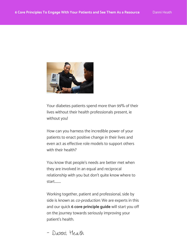

Your diabetes patients spend more than 99% of their lives without their health professionals present, ie without you!

How can you harness the incredible power of your patients to enact positive change in their lives and even act as effective role models to support others with their health?

You know that people's needs are better met when they are involved in an equal and reciprocal relationship with you but don't quite know where to start.........

Working together, patient and professional, side by side is known as *co-production*. We are experts in this and our quick **6 core principle guide** will start you off on the journey towards seriously improving your patient's health.

- Danni Heath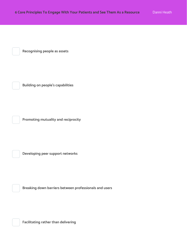**Recognising people as assets**

**Building on people's capabilities**

**Promoting mutuality and reciprocity**

**Developing peer support networks**

**Breaking down barriers between professionals and users**

**Facilitating rather than delivering**